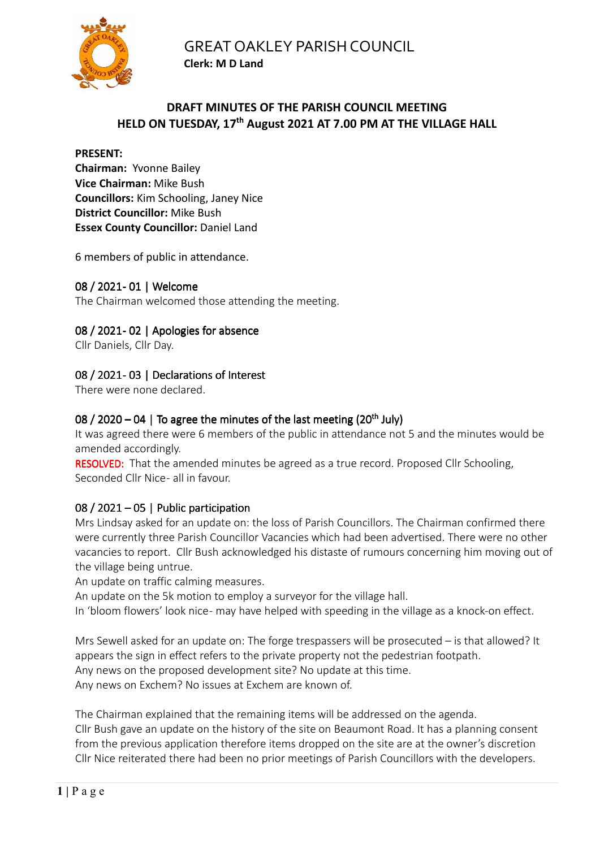

## **DRAFT MINUTES OF THE PARISH COUNCIL MEETING HELD ON TUESDAY, 17th August 2021 AT 7.00 PM AT THE VILLAGE HALL**

### **PRESENT:**

**Chairman:** Yvonne Bailey **Vice Chairman:** Mike Bush **Councillors:** Kim Schooling, Janey Nice **District Councillor:** Mike Bush **Essex County Councillor: Daniel Land** 

6 members of public in attendance.

## 08 / 2021- 01 | Welcome

The Chairman welcomed those attending the meeting.

## 08 / 2021-02 | Apologies for absence

Cllr Daniels, Cllr Day.

## 08 / 2021-03 | Declarations of Interest

There were none declared.

## 08 / 2020  $-$  04 | To agree the minutes of the last meeting (20<sup>th</sup> July)

It was agreed there were 6 members of the public in attendance not 5 and the minutes would be amended accordingly.

RESOLVED: That the amended minutes be agreed as a true record. Proposed Cllr Schooling, Seconded Cllr Nice - all in favour.

## 08 / 2021 – 05 | Public participation

Mrs Lindsay asked for an update on: the loss of Parish Councillors. The Chairman confirmed there were currently three Parish Councillor Vacancies which had been advertised. There were no other vacancies to report. Cllr Bush acknowledged his distaste of rumours concerning him moving out of the village being untrue.

An update on traffic calming measures.

An update on the 5k motion to employ a surveyor for the village hall.

In 'bloom flowers' look nice- may have helped with speeding in the village as a knock-on effect.

Mrs Sewell asked for an update on: The forge trespassers will be prosecuted – is that allowed? It appears the sign in effect refers to the private property not the pedestrian footpath. Any news on the proposed development site? No update at this time. Any news on Exchem? No issues at Exchem are known of.

The Chairman explained that the remaining items will be addressed on the agenda. Cllr Bush gave an update on the history of the site on Beaumont Road. It has a planning consent from the previous application therefore items dropped on the site are at the owner's discretion Cllr Nice reiterated there had been no prior meetings of Parish Councillors with the developers.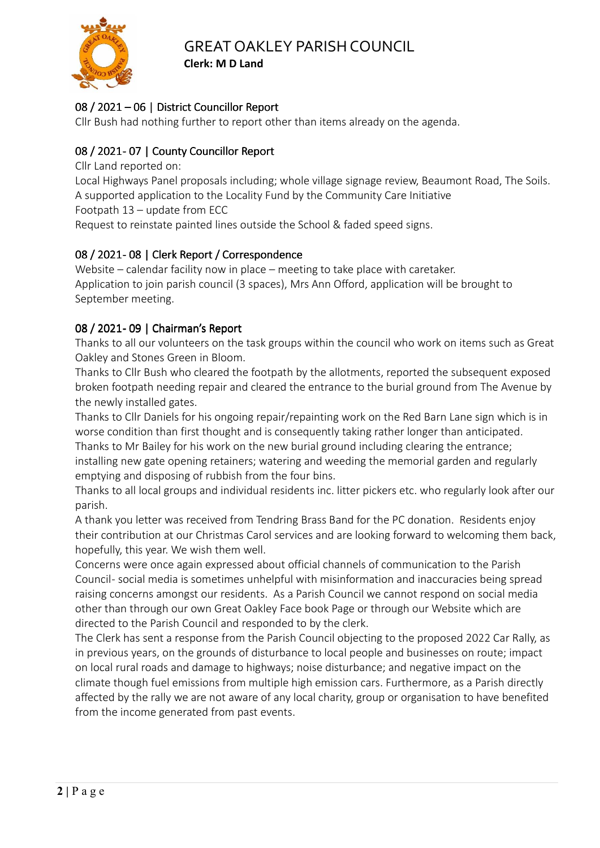

# 08 / 2021 – 06 | District Councillor Report

Cllr Bush had nothing further to report other than items already on the agenda.

## 08 / 2021-07 | County Councillor Report

Cllr Land reported on:

Local Highways Panel proposals including; whole village signage review, Beaumont Road, The Soils. A supported application to the Locality Fund by the Community Care Initiative

Footpath 13 – update from ECC

Request to reinstate painted lines outside the School & faded speed signs.

## 08 / 2021 - 08 | Clerk Report / Correspondence

Website – calendar facility now in place – meeting to take place with caretaker. Application to join parish council (3 spaces), Mrs Ann Offord, application will be brought to September meeting.

## 08 / 2021 - 09 | Chairman's Report

Thanks to all our volunteers on the task groups within the council who work on items such as Great Oakley and Stones Green in Bloom.

Thanks to Cllr Bush who cleared the footpath by the allotments, reported the subsequent exposed broken footpath needing repair and cleared the entrance to the burial ground from The Avenue by the newly installed gates.

Thanks to Cllr Daniels for his ongoing repair/repainting work on the Red Barn Lane sign which is in worse condition than first thought and is consequently taking rather longer than anticipated.

Thanks to Mr Bailey for his work on the new burial ground including clearing the entrance; installing new gate opening retainers; watering and weeding the memorial garden and regularly emptying and disposing of rubbish from the four bins.

Thanks to all local groups and individual residents inc. litter pickers etc. who regularly look after our parish.

A thank you letter was received from Tendring Brass Band for the PC donation. Residents enjoy their contribution at our Christmas Carol services and are looking forward to welcoming them back, hopefully, this year. We wish them well.

Concerns were once again expressed about official channels of communication to the Parish Council- social media is sometimes unhelpful with misinformation and inaccuracies being spread raising concerns amongst our residents. As a Parish Council we cannot respond on social media other than through our own Great Oakley Face book Page or through our Website which are directed to the Parish Council and responded to by the clerk.

The Clerk has sent a response from the Parish Council objecting to the proposed 2022 Car Rally, as in previous years, on the grounds of disturbance to local people and businesses on route; impact on local rural roads and damage to highways; noise disturbance; and negative impact on the climate though fuel emissions from multiple high emission cars. Furthermore, as a Parish directly affected by the rally we are not aware of any local charity, group or organisation to have benefited from the income generated from past events.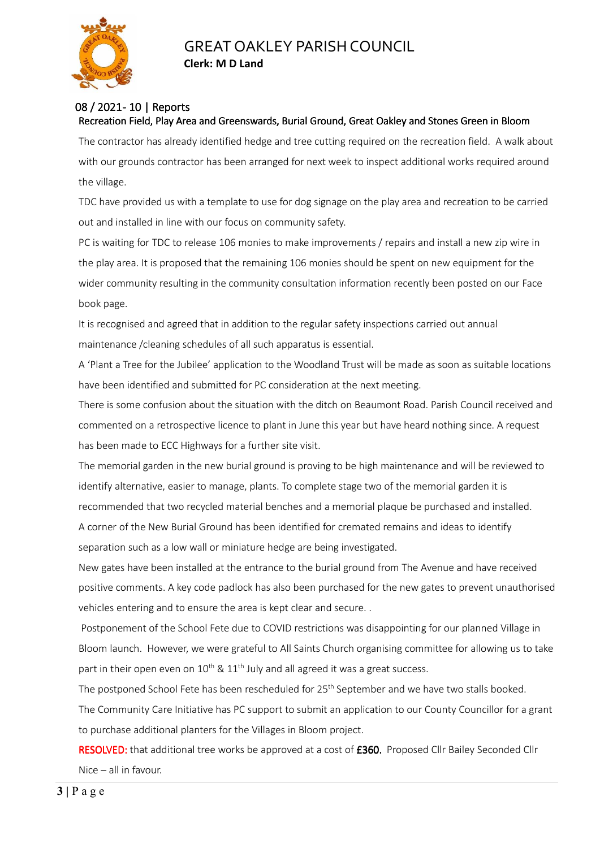

#### 08 / 2021 - 10 | Reports Recreation Field, Play Area and Greenswards, Burial Ground, Great Oakley and Stones Green in Bloom

The contractor has already identified hedge and tree cutting required on the recreation field. A walk about with our grounds contractor has been arranged for next week to inspect additional works required around the village.

TDC have provided us with a template to use for dog signage on the play area and recreation to be carried out and installed in line with our focus on community safety.

PC is waiting for TDC to release 106 monies to make improvements / repairs and install a new zip wire in the play area. It is proposed that the remaining 106 monies should be spent on new equipment for the wider community resulting in the community consultation information recently been posted on our Face book page.

It is recognised and agreed that in addition to the regular safety inspections carried out annual maintenance /cleaning schedules of all such apparatus is essential.

A 'Plant a Tree for the Jubilee' application to the Woodland Trust will be made as soon as suitable locations have been identified and submitted for PC consideration at the next meeting.

There is some confusion about the situation with the ditch on Beaumont Road. Parish Council received and commented on a retrospective licence to plant in June this year but have heard nothing since. A request has been made to ECC Highways for a further site visit.

The memorial garden in the new burial ground is proving to be high maintenance and will be reviewed to identify alternative, easier to manage, plants. To complete stage two of the memorial garden it is recommended that two recycled material benches and a memorial plaque be purchased and installed. A corner of the New Burial Ground has been identified for cremated remains and ideas to identify separation such as a low wall or miniature hedge are being investigated.

New gates have been installed at the entrance to the burial ground from The Avenue and have received positive comments. A key code padlock has also been purchased for the new gates to prevent unauthorised vehicles entering and to ensure the area is kept clear and secure. .

 Postponement of the School Fete due to COVID restrictions was disappointing for our planned Village in Bloom launch. However, we were grateful to All Saints Church organising committee for allowing us to take part in their open even on  $10^{th}$  &  $11^{th}$  July and all agreed it was a great success.

The postponed School Fete has been rescheduled for 25<sup>th</sup> September and we have two stalls booked.

The Community Care Initiative has PC support to submit an application to our County Councillor for a grant to purchase additional planters for the Villages in Bloom project.

RESOLVED: that additional tree works be approved at a cost of £360. Proposed Cllr Bailey Seconded Cllr Nice – all in favour.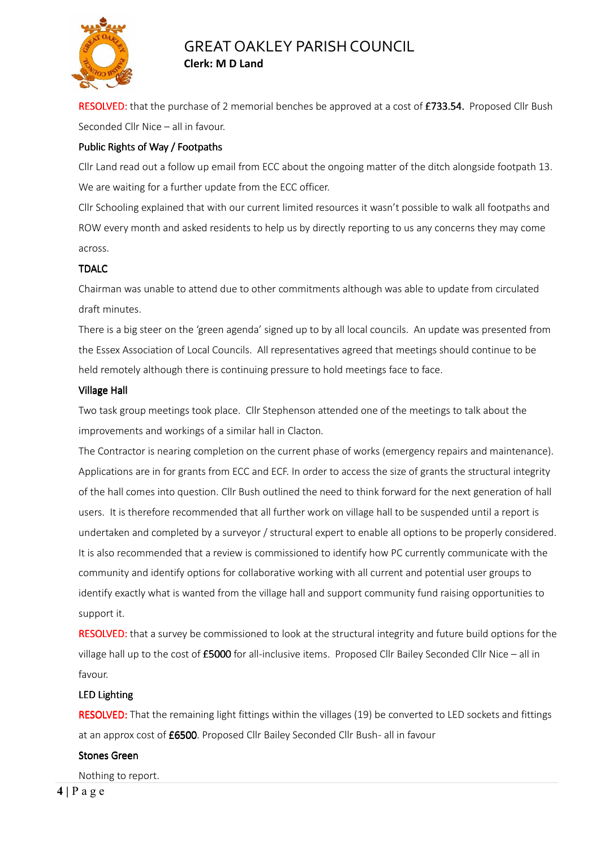

RESOLVED: that the purchase of 2 memorial benches be approved at a cost of £733.54. Proposed Cllr Bush Seconded Cllr Nice – all in favour.

#### Public Rights of Way / Footpaths

Cllr Land read out a follow up email from ECC about the ongoing matter of the ditch alongside footpath 13. We are waiting for a further update from the ECC officer.

Cllr Schooling explained that with our current limited resources it wasn't possible to walk all footpaths and ROW every month and asked residents to help us by directly reporting to us any concerns they may come across.

#### TDALC

Chairman was unable to attend due to other commitments although was able to update from circulated draft minutes.

There is a big steer on the 'green agenda' signed up to by all local councils. An update was presented from the Essex Association of Local Councils. All representatives agreed that meetings should continue to be held remotely although there is continuing pressure to hold meetings face to face.

#### Village Hall

Two task group meetings took place. Cllr Stephenson attended one of the meetings to talk about the improvements and workings of a similar hall in Clacton.

The Contractor is nearing completion on the current phase of works (emergency repairs and maintenance). Applications are in for grants from ECC and ECF. In order to access the size of grants the structural integrity of the hall comes into question. Cllr Bush outlined the need to think forward for the next generation of hall users. It is therefore recommended that all further work on village hall to be suspended until a report is undertaken and completed by a surveyor / structural expert to enable all options to be properly considered. It is also recommended that a review is commissioned to identify how PC currently communicate with the community and identify options for collaborative working with all current and potential user groups to identify exactly what is wanted from the village hall and support community fund raising opportunities to support it.

RESOLVED: that a survey be commissioned to look at the structural integrity and future build options for the village hall up to the cost of  $£5000$  for all-inclusive items. Proposed Cllr Bailey Seconded Cllr Nice – all in favour.

#### LED Lighting

RESOLVED: That the remaining light fittings within the villages (19) be converted to LED sockets and fittings at an approx cost of £6500. Proposed Cllr Bailey Seconded Cllr Bush- all in favour

#### Stones Green

Nothing to report.